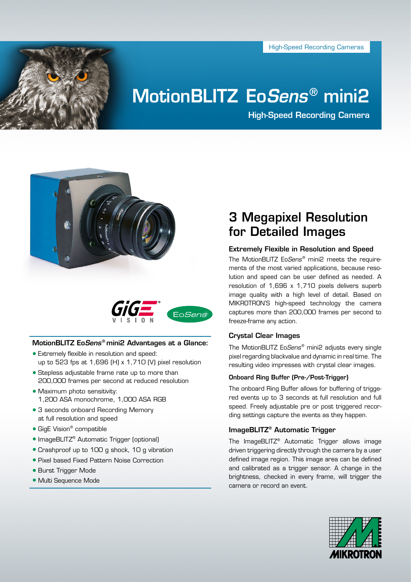High-Speed Recording Cameras



# MotionBLITZ Eo*Sens* ® mini2

High-Speed Recording Camera





# MotionBLITZ Eo*Sens<sup>®</sup>* mini2 Advantages at a Glance:

- Extremely flexible in resolution and speed: up to 523 fps at 1,696 (H) x 1,710 (V) pixel resolution
- Stepless adjustable frame rate up to more than 200,000 frames per second at reduced resolution
- Maximum photo sensitivity: 1,200 ASA monochrome, 1,000 ASA RGB
- 3 seconds onboard Recording Memory at full resolution and speed
- GigE Vision<sup>®</sup> compatible
- ImageBLITZ<sup>®</sup> Automatic Trigger (optional)
- Crashproof up to 100 g shock, 10 g vibration
- Pixel based Fixed Pattern Noise Correction
- Burst Trigger Mode
- Multi Sequence Mode

# 3 Megapixel Resolution for Detailed Images

# Extremely Flexible in Resolution and Speed

The MotionBLITZ Eo*Sens<sup>®</sup>* mini2 meets the requirements of the most varied applications, because resolution and speed can be user defined as needed. A resolution of 1,696 x 1,710 pixels delivers superb image quality with a high level of detail. Based on MIKROTRON'S high-speed technology the camera captures more than 200,000 frames per second to freeze-frame any action.

# Crystal Clear Images

The MotionBLITZ Eo*Sens* ® mini2 adjusts every single pixel regarding blackvalue and dynamic in real time. The resulting video impresses with crystal clear images.

# Onboard Ring Buffer (Pre-/Post-Trigger)

The onboard Ring Buffer allows for buffering of triggered events up to 3 seconds at full resolution and full speed. Freely adjustable pre or post triggered recording settings capture the events as they happen.

# ImageBLITZ® Automatic Trigger

The ImageBLITZ® Automatic Trigger allows image driven triggering directly through the camera by a user defined image region. This image area can be defined and calibrated as a trigger sensor. A change in the brightness, checked in every frame, will trigger the camera or record an event.